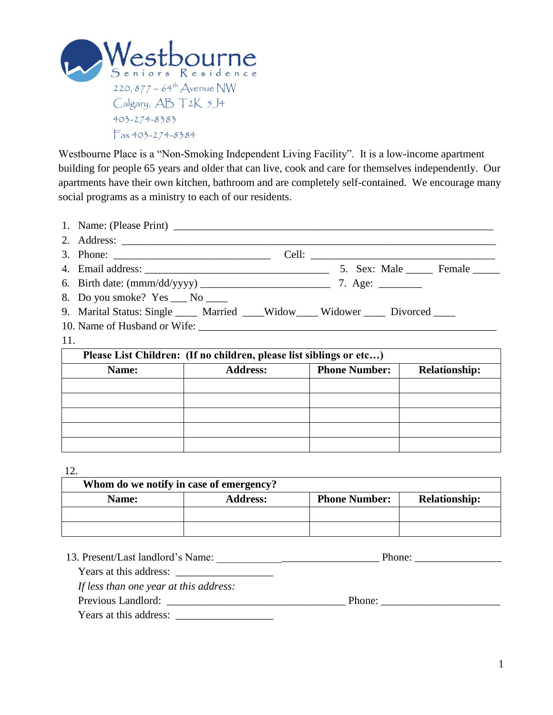

Westbourne Place is a "Non-Smoking Independent Living Facility". It is a low-income apartment building for people 65 years and older that can live, cook and care for themselves independently. Our apartments have their own kitchen, bathroom and are completely self-contained. We encourage many social programs as a ministry to each of our residents.

|                                                                     | 8. Do you smoke? Yes ___ No ____                                                   |  |                          |                      |  |  |  |  |
|---------------------------------------------------------------------|------------------------------------------------------------------------------------|--|--------------------------|----------------------|--|--|--|--|
|                                                                     | 9. Marital Status: Single _____ Married ____Widow_____ Widower _____ Divorced ____ |  |                          |                      |  |  |  |  |
|                                                                     |                                                                                    |  |                          |                      |  |  |  |  |
| 11.                                                                 |                                                                                    |  |                          |                      |  |  |  |  |
| Please List Children: (If no children, please list siblings or etc) |                                                                                    |  |                          |                      |  |  |  |  |
|                                                                     | Name:                                                                              |  | Address:   Phone Number: | <b>Relationship:</b> |  |  |  |  |
|                                                                     |                                                                                    |  |                          |                      |  |  |  |  |
|                                                                     |                                                                                    |  |                          |                      |  |  |  |  |
|                                                                     |                                                                                    |  |                          |                      |  |  |  |  |
|                                                                     |                                                                                    |  |                          |                      |  |  |  |  |

12.

| Whom do we notify in case of emergency? |                 |                      |                      |  |  |  |
|-----------------------------------------|-----------------|----------------------|----------------------|--|--|--|
| Name:                                   | <b>Address:</b> | <b>Phone Number:</b> | <b>Relationship:</b> |  |  |  |
|                                         |                 |                      |                      |  |  |  |
|                                         |                 |                      |                      |  |  |  |

| 13. Present/Last landlord's Name:      | Phone: |
|----------------------------------------|--------|
| Years at this address:                 |        |
| If less than one year at this address: |        |
| Previous Landlord:                     | Phone: |
| Years at this address:                 |        |